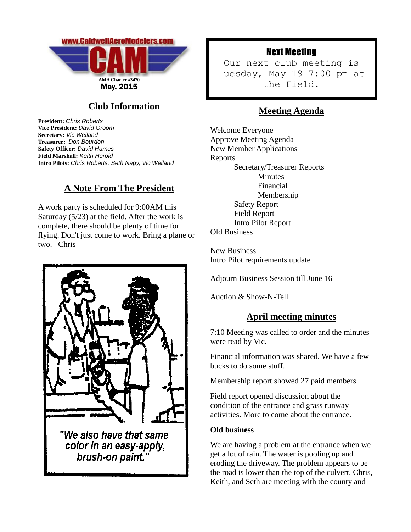

# **Club Information**

**President:** *Chris Roberts* **Vice President:** *David Groom* **Secretary:** *Vic Welland* **Treasurer:** *Don Bourdon* **Safety Officer:** *David Hames* **Field Marshall:** *Keith Herold* **Intro Pilots:** *Chris Roberts, Seth Nagy, Vic Welland*

### **A Note From The President**

A work party is scheduled for 9:00AM this Saturday (5/23) at the field. After the work is complete, there should be plenty of time for flying. Don't just come to work. Bring a plane or two. –Chris



## Next Meeting

Our next club meeting is Tuesday, May 19 7:00 pm at the Field.

## **Meeting Agenda**

Welcome Everyone Approve Meeting Agenda New Member Applications Reports Secretary/Treasurer Reports Minutes Financial Membership Safety Report Field Report Intro Pilot Report Old Business

New Business Intro Pilot requirements update

Adjourn Business Session till June 16

Auction & Show-N-Tell

### **April meeting minutes**

7:10 Meeting was called to order and the minutes were read by Vic.

Financial information was shared. We have a few bucks to do some stuff.

Membership report showed 27 paid members.

Field report opened discussion about the condition of the entrance and grass runway activities. More to come about the entrance.

#### **Old business**

We are having a problem at the entrance when we get a lot of rain. The water is pooling up and eroding the driveway. The problem appears to be the road is lower than the top of the culvert. Chris, Keith, and Seth are meeting with the county and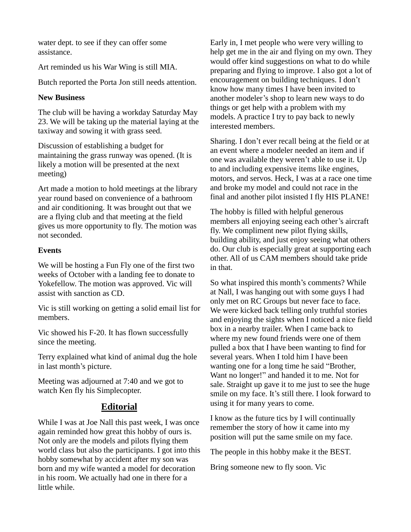water dept. to see if they can offer some assistance.

Art reminded us his War Wing is still MIA.

Butch reported the Porta Jon still needs attention.

#### **New Business**

The club will be having a workday Saturday May 23. We will be taking up the material laying at the taxiway and sowing it with grass seed.

Discussion of establishing a budget for maintaining the grass runway was opened. (It is likely a motion will be presented at the next meeting)

Art made a motion to hold meetings at the library year round based on convenience of a bathroom and air conditioning. It was brought out that we are a flying club and that meeting at the field gives us more opportunity to fly. The motion was not seconded.

#### **Events**

We will be hosting a Fun Fly one of the first two weeks of October with a landing fee to donate to Yokefellow. The motion was approved. Vic will assist with sanction as CD.

Vic is still working on getting a solid email list for members.

Vic showed his F-20. It has flown successfully since the meeting.

Terry explained what kind of animal dug the hole in last month's picture.

Meeting was adjourned at 7:40 and we got to watch Ken fly his Simplecopter.

### **Editorial**

While I was at Joe Nall this past week, I was once again reminded how great this hobby of ours is. Not only are the models and pilots flying them world class but also the participants. I got into this hobby somewhat by accident after my son was born and my wife wanted a model for decoration in his room. We actually had one in there for a little while.

Early in, I met people who were very willing to help get me in the air and flying on my own. They would offer kind suggestions on what to do while preparing and flying to improve. I also got a lot of encouragement on building techniques. I don't know how many times I have been invited to another modeler's shop to learn new ways to do things or get help with a problem with my models. A practice I try to pay back to newly interested members.

Sharing. I don't ever recall being at the field or at an event where a modeler needed an item and if one was available they weren't able to use it. Up to and including expensive items like engines, motors, and servos. Heck, I was at a race one time and broke my model and could not race in the final and another pilot insisted I fly HIS PLANE!

The hobby is filled with helpful generous members all enjoying seeing each other's aircraft fly. We compliment new pilot flying skills, building ability, and just enjoy seeing what others do. Our club is especially great at supporting each other. All of us CAM members should take pride in that.

So what inspired this month's comments? While at Nall, I was hanging out with some guys I had only met on RC Groups but never face to face. We were kicked back telling only truthful stories and enjoying the sights when I noticed a nice field box in a nearby trailer. When I came back to where my new found friends were one of them pulled a box that I have been wanting to find for several years. When I told him I have been wanting one for a long time he said "Brother, Want no longer!" and handed it to me. Not for sale. Straight up gave it to me just to see the huge smile on my face. It's still there. I look forward to using it for many years to come.

I know as the future tics by I will continually remember the story of how it came into my position will put the same smile on my face.

The people in this hobby make it the BEST.

Bring someone new to fly soon. Vic